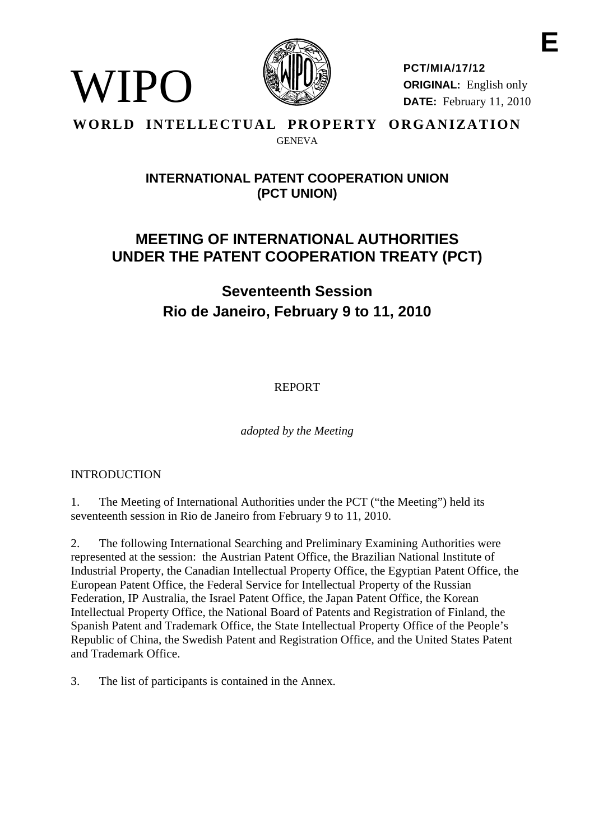

**PCT/MIA/17/12 ORIGINAL:** English only **DATE:** February 11, 2010 **E** 

#### **WORLD INTELLECTUAL PROPERTY ORGANIZATION GENEVA**

# **INTERNATIONAL PATENT COOPERATION UNION (PCT UNION)**

# **MEETING OF INTERNATIONAL AUTHORITIES UNDER THE PATENT COOPERATION TREATY (PCT)**

**Seventeenth Session Rio de Janeiro, February 9 to 11, 2010** 

REPORT

*adopted by the Meeting* 

# **INTRODUCTION**

WIPO)

1. The Meeting of International Authorities under the PCT ("the Meeting") held its seventeenth session in Rio de Janeiro from February 9 to 11, 2010.

2. The following International Searching and Preliminary Examining Authorities were represented at the session: the Austrian Patent Office, the Brazilian National Institute of Industrial Property, the Canadian Intellectual Property Office, the Egyptian Patent Office, the European Patent Office, the Federal Service for Intellectual Property of the Russian Federation, IP Australia, the Israel Patent Office, the Japan Patent Office, the Korean Intellectual Property Office, the National Board of Patents and Registration of Finland, the Spanish Patent and Trademark Office, the State Intellectual Property Office of the People's Republic of China, the Swedish Patent and Registration Office, and the United States Patent and Trademark Office.

3. The list of participants is contained in the Annex.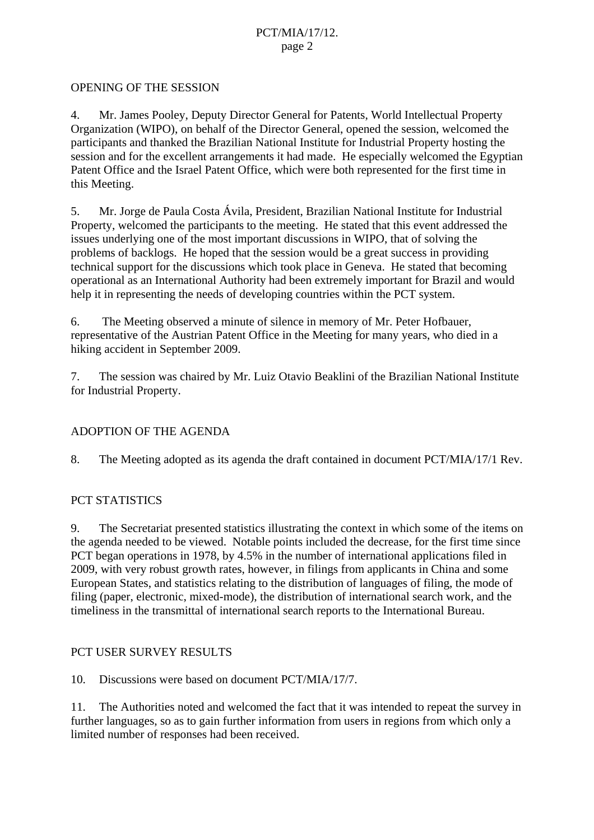#### OPENING OF THE SESSION

4. Mr. James Pooley, Deputy Director General for Patents, World Intellectual Property Organization (WIPO), on behalf of the Director General, opened the session, welcomed the participants and thanked the Brazilian National Institute for Industrial Property hosting the session and for the excellent arrangements it had made. He especially welcomed the Egyptian Patent Office and the Israel Patent Office, which were both represented for the first time in this Meeting.

5. Mr. Jorge de Paula Costa Ávila, President, Brazilian National Institute for Industrial Property, welcomed the participants to the meeting. He stated that this event addressed the issues underlying one of the most important discussions in WIPO, that of solving the problems of backlogs. He hoped that the session would be a great success in providing technical support for the discussions which took place in Geneva. He stated that becoming operational as an International Authority had been extremely important for Brazil and would help it in representing the needs of developing countries within the PCT system.

6. The Meeting observed a minute of silence in memory of Mr. Peter Hofbauer, representative of the Austrian Patent Office in the Meeting for many years, who died in a hiking accident in September 2009.

7. The session was chaired by Mr. Luiz Otavio Beaklini of the Brazilian National Institute for Industrial Property.

# ADOPTION OF THE AGENDA

8. The Meeting adopted as its agenda the draft contained in document PCT/MIA/17/1 Rev.

# PCT STATISTICS

9. The Secretariat presented statistics illustrating the context in which some of the items on the agenda needed to be viewed. Notable points included the decrease, for the first time since PCT began operations in 1978, by 4.5% in the number of international applications filed in 2009, with very robust growth rates, however, in filings from applicants in China and some European States, and statistics relating to the distribution of languages of filing, the mode of filing (paper, electronic, mixed-mode), the distribution of international search work, and the timeliness in the transmittal of international search reports to the International Bureau.

#### PCT USER SURVEY RESULTS

10. Discussions were based on document PCT/MIA/17/7.

11. The Authorities noted and welcomed the fact that it was intended to repeat the survey in further languages, so as to gain further information from users in regions from which only a limited number of responses had been received.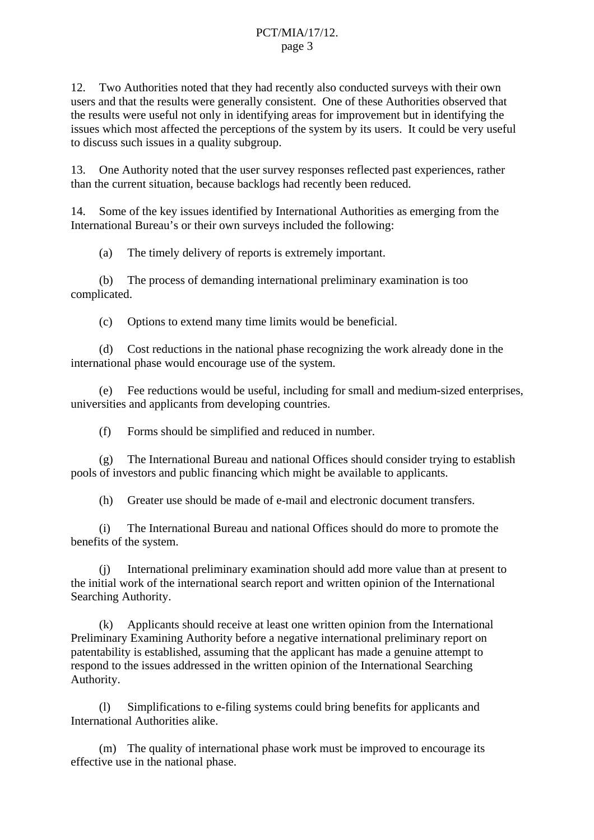12. Two Authorities noted that they had recently also conducted surveys with their own users and that the results were generally consistent. One of these Authorities observed that the results were useful not only in identifying areas for improvement but in identifying the issues which most affected the perceptions of the system by its users. It could be very useful to discuss such issues in a quality subgroup.

13. One Authority noted that the user survey responses reflected past experiences, rather than the current situation, because backlogs had recently been reduced.

14. Some of the key issues identified by International Authorities as emerging from the International Bureau's or their own surveys included the following:

(a) The timely delivery of reports is extremely important.

 (b) The process of demanding international preliminary examination is too complicated.

(c) Options to extend many time limits would be beneficial.

 (d) Cost reductions in the national phase recognizing the work already done in the international phase would encourage use of the system.

 (e) Fee reductions would be useful, including for small and medium-sized enterprises, universities and applicants from developing countries.

(f) Forms should be simplified and reduced in number.

 (g) The International Bureau and national Offices should consider trying to establish pools of investors and public financing which might be available to applicants.

(h) Greater use should be made of e-mail and electronic document transfers.

 (i) The International Bureau and national Offices should do more to promote the benefits of the system.

 (j) International preliminary examination should add more value than at present to the initial work of the international search report and written opinion of the International Searching Authority.

 (k) Applicants should receive at least one written opinion from the International Preliminary Examining Authority before a negative international preliminary report on patentability is established, assuming that the applicant has made a genuine attempt to respond to the issues addressed in the written opinion of the International Searching Authority.

 (l) Simplifications to e-filing systems could bring benefits for applicants and International Authorities alike.

 (m) The quality of international phase work must be improved to encourage its effective use in the national phase.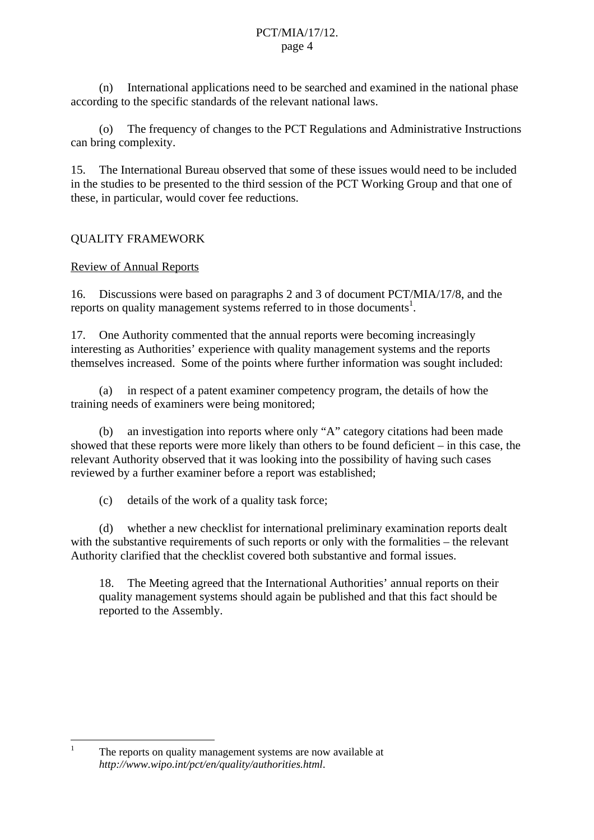(n) International applications need to be searched and examined in the national phase according to the specific standards of the relevant national laws.

 (o) The frequency of changes to the PCT Regulations and Administrative Instructions can bring complexity.

15. The International Bureau observed that some of these issues would need to be included in the studies to be presented to the third session of the PCT Working Group and that one of these, in particular, would cover fee reductions.

# QUALITY FRAMEWORK

# Review of Annual Reports

 $\frac{1}{1}$ 

16. Discussions were based on paragraphs 2 and 3 of document PCT/MIA/17/8, and the reports on quality management systems referred to in those documents<sup>1</sup>.

17. One Authority commented that the annual reports were becoming increasingly interesting as Authorities' experience with quality management systems and the reports themselves increased. Some of the points where further information was sought included:

 (a) in respect of a patent examiner competency program, the details of how the training needs of examiners were being monitored;

 (b) an investigation into reports where only "A" category citations had been made showed that these reports were more likely than others to be found deficient – in this case, the relevant Authority observed that it was looking into the possibility of having such cases reviewed by a further examiner before a report was established;

(c) details of the work of a quality task force;

 (d) whether a new checklist for international preliminary examination reports dealt with the substantive requirements of such reports or only with the formalities – the relevant Authority clarified that the checklist covered both substantive and formal issues.

18. The Meeting agreed that the International Authorities' annual reports on their quality management systems should again be published and that this fact should be reported to the Assembly.

The reports on quality management systems are now available at *http://www.wipo.int/pct/en/quality/authorities.html*.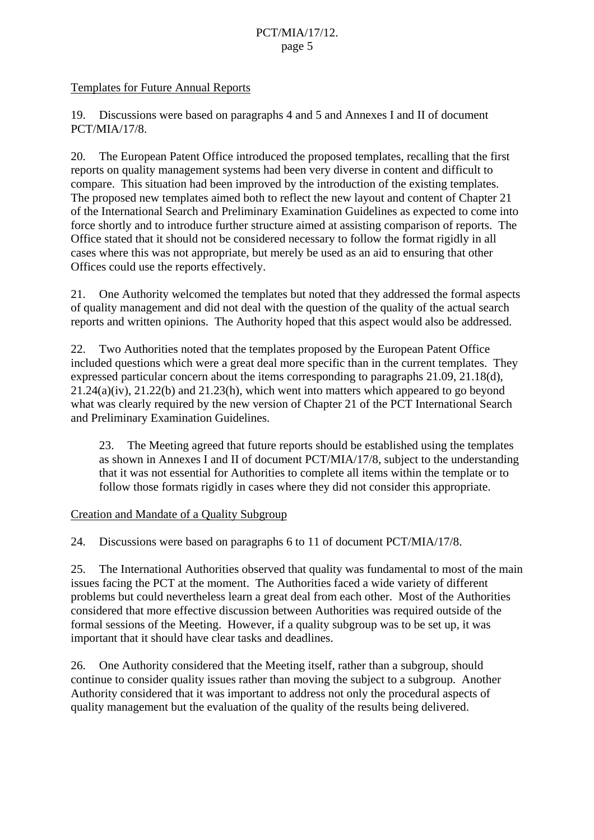### Templates for Future Annual Reports

19. Discussions were based on paragraphs 4 and 5 and Annexes I and II of document PCT/MIA/17/8.

20. The European Patent Office introduced the proposed templates, recalling that the first reports on quality management systems had been very diverse in content and difficult to compare. This situation had been improved by the introduction of the existing templates. The proposed new templates aimed both to reflect the new layout and content of Chapter 21 of the International Search and Preliminary Examination Guidelines as expected to come into force shortly and to introduce further structure aimed at assisting comparison of reports. The Office stated that it should not be considered necessary to follow the format rigidly in all cases where this was not appropriate, but merely be used as an aid to ensuring that other Offices could use the reports effectively.

21. One Authority welcomed the templates but noted that they addressed the formal aspects of quality management and did not deal with the question of the quality of the actual search reports and written opinions. The Authority hoped that this aspect would also be addressed.

22. Two Authorities noted that the templates proposed by the European Patent Office included questions which were a great deal more specific than in the current templates. They expressed particular concern about the items corresponding to paragraphs 21.09, 21.18(d), 21.24(a)(iv), 21.22(b) and 21.23(h), which went into matters which appeared to go beyond what was clearly required by the new version of Chapter 21 of the PCT International Search and Preliminary Examination Guidelines.

23. The Meeting agreed that future reports should be established using the templates as shown in Annexes I and II of document PCT/MIA/17/8, subject to the understanding that it was not essential for Authorities to complete all items within the template or to follow those formats rigidly in cases where they did not consider this appropriate.

#### Creation and Mandate of a Quality Subgroup

24. Discussions were based on paragraphs 6 to 11 of document PCT/MIA/17/8.

25. The International Authorities observed that quality was fundamental to most of the main issues facing the PCT at the moment. The Authorities faced a wide variety of different problems but could nevertheless learn a great deal from each other. Most of the Authorities considered that more effective discussion between Authorities was required outside of the formal sessions of the Meeting. However, if a quality subgroup was to be set up, it was important that it should have clear tasks and deadlines.

26. One Authority considered that the Meeting itself, rather than a subgroup, should continue to consider quality issues rather than moving the subject to a subgroup. Another Authority considered that it was important to address not only the procedural aspects of quality management but the evaluation of the quality of the results being delivered.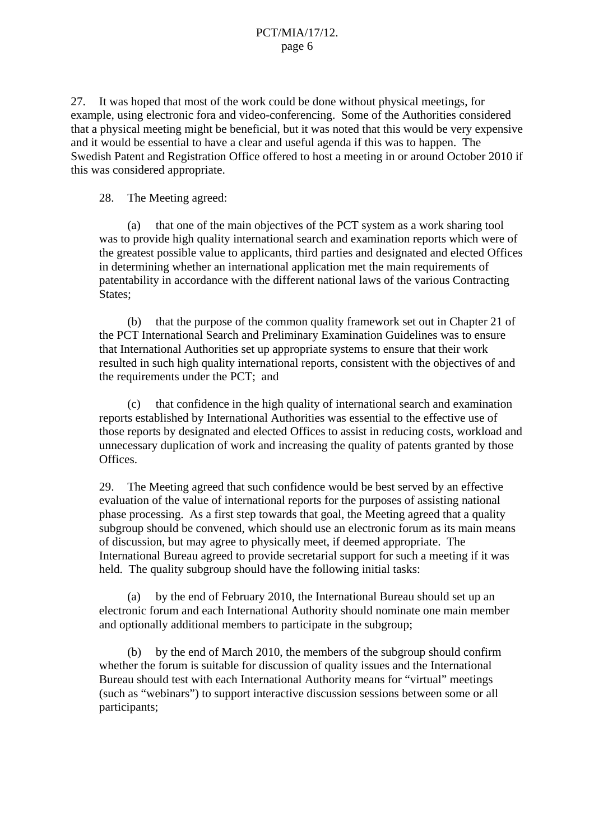27. It was hoped that most of the work could be done without physical meetings, for example, using electronic fora and video-conferencing. Some of the Authorities considered that a physical meeting might be beneficial, but it was noted that this would be very expensive and it would be essential to have a clear and useful agenda if this was to happen. The Swedish Patent and Registration Office offered to host a meeting in or around October 2010 if this was considered appropriate.

#### 28. The Meeting agreed:

 (a) that one of the main objectives of the PCT system as a work sharing tool was to provide high quality international search and examination reports which were of the greatest possible value to applicants, third parties and designated and elected Offices in determining whether an international application met the main requirements of patentability in accordance with the different national laws of the various Contracting States;

 (b) that the purpose of the common quality framework set out in Chapter 21 of the PCT International Search and Preliminary Examination Guidelines was to ensure that International Authorities set up appropriate systems to ensure that their work resulted in such high quality international reports, consistent with the objectives of and the requirements under the PCT; and

 (c) that confidence in the high quality of international search and examination reports established by International Authorities was essential to the effective use of those reports by designated and elected Offices to assist in reducing costs, workload and unnecessary duplication of work and increasing the quality of patents granted by those Offices.

29. The Meeting agreed that such confidence would be best served by an effective evaluation of the value of international reports for the purposes of assisting national phase processing. As a first step towards that goal, the Meeting agreed that a quality subgroup should be convened, which should use an electronic forum as its main means of discussion, but may agree to physically meet, if deemed appropriate. The International Bureau agreed to provide secretarial support for such a meeting if it was held. The quality subgroup should have the following initial tasks:

 (a) by the end of February 2010, the International Bureau should set up an electronic forum and each International Authority should nominate one main member and optionally additional members to participate in the subgroup;

 (b) by the end of March 2010, the members of the subgroup should confirm whether the forum is suitable for discussion of quality issues and the International Bureau should test with each International Authority means for "virtual" meetings (such as "webinars") to support interactive discussion sessions between some or all participants;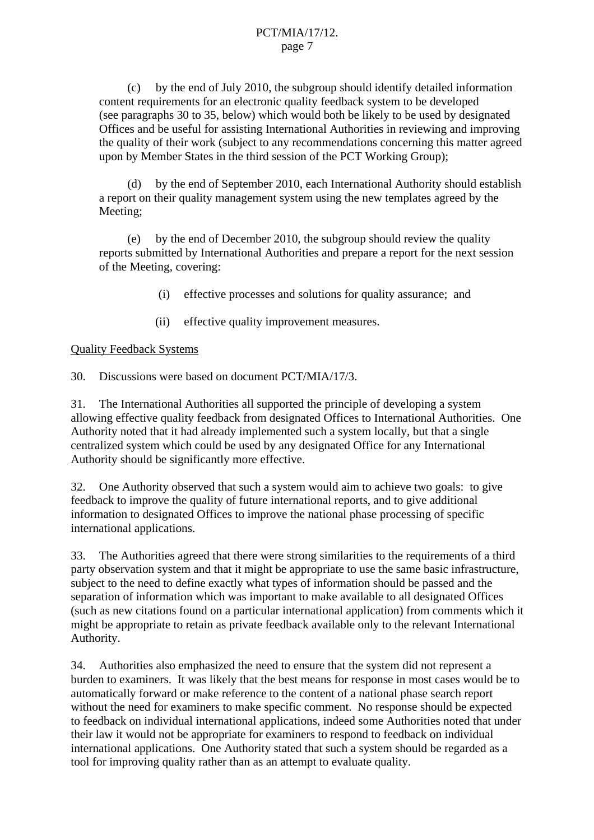(c) by the end of July 2010, the subgroup should identify detailed information content requirements for an electronic quality feedback system to be developed (see paragraphs 30 to 35, below) which would both be likely to be used by designated Offices and be useful for assisting International Authorities in reviewing and improving the quality of their work (subject to any recommendations concerning this matter agreed upon by Member States in the third session of the PCT Working Group);

 (d) by the end of September 2010, each International Authority should establish a report on their quality management system using the new templates agreed by the Meeting;

 (e) by the end of December 2010, the subgroup should review the quality reports submitted by International Authorities and prepare a report for the next session of the Meeting, covering:

- (i) effective processes and solutions for quality assurance; and
- (ii) effective quality improvement measures.

#### Quality Feedback Systems

30. Discussions were based on document PCT/MIA/17/3.

31. The International Authorities all supported the principle of developing a system allowing effective quality feedback from designated Offices to International Authorities. One Authority noted that it had already implemented such a system locally, but that a single centralized system which could be used by any designated Office for any International Authority should be significantly more effective.

32. One Authority observed that such a system would aim to achieve two goals: to give feedback to improve the quality of future international reports, and to give additional information to designated Offices to improve the national phase processing of specific international applications.

33. The Authorities agreed that there were strong similarities to the requirements of a third party observation system and that it might be appropriate to use the same basic infrastructure, subject to the need to define exactly what types of information should be passed and the separation of information which was important to make available to all designated Offices (such as new citations found on a particular international application) from comments which it might be appropriate to retain as private feedback available only to the relevant International Authority.

34. Authorities also emphasized the need to ensure that the system did not represent a burden to examiners. It was likely that the best means for response in most cases would be to automatically forward or make reference to the content of a national phase search report without the need for examiners to make specific comment. No response should be expected to feedback on individual international applications, indeed some Authorities noted that under their law it would not be appropriate for examiners to respond to feedback on individual international applications. One Authority stated that such a system should be regarded as a tool for improving quality rather than as an attempt to evaluate quality.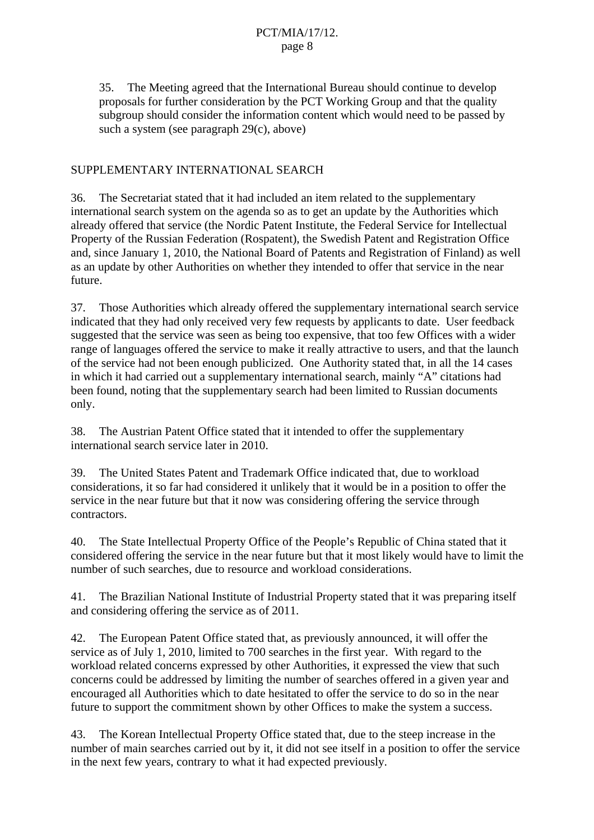35. The Meeting agreed that the International Bureau should continue to develop proposals for further consideration by the PCT Working Group and that the quality subgroup should consider the information content which would need to be passed by such a system (see paragraph 29(c), above)

### SUPPLEMENTARY INTERNATIONAL SEARCH

36. The Secretariat stated that it had included an item related to the supplementary international search system on the agenda so as to get an update by the Authorities which already offered that service (the Nordic Patent Institute, the Federal Service for Intellectual Property of the Russian Federation (Rospatent), the Swedish Patent and Registration Office and, since January 1, 2010, the National Board of Patents and Registration of Finland) as well as an update by other Authorities on whether they intended to offer that service in the near future.

37. Those Authorities which already offered the supplementary international search service indicated that they had only received very few requests by applicants to date. User feedback suggested that the service was seen as being too expensive, that too few Offices with a wider range of languages offered the service to make it really attractive to users, and that the launch of the service had not been enough publicized. One Authority stated that, in all the 14 cases in which it had carried out a supplementary international search, mainly "A" citations had been found, noting that the supplementary search had been limited to Russian documents only.

38. The Austrian Patent Office stated that it intended to offer the supplementary international search service later in 2010.

39. The United States Patent and Trademark Office indicated that, due to workload considerations, it so far had considered it unlikely that it would be in a position to offer the service in the near future but that it now was considering offering the service through contractors.

40. The State Intellectual Property Office of the People's Republic of China stated that it considered offering the service in the near future but that it most likely would have to limit the number of such searches, due to resource and workload considerations.

41. The Brazilian National Institute of Industrial Property stated that it was preparing itself and considering offering the service as of 2011.

42. The European Patent Office stated that, as previously announced, it will offer the service as of July 1, 2010, limited to 700 searches in the first year. With regard to the workload related concerns expressed by other Authorities, it expressed the view that such concerns could be addressed by limiting the number of searches offered in a given year and encouraged all Authorities which to date hesitated to offer the service to do so in the near future to support the commitment shown by other Offices to make the system a success.

43. The Korean Intellectual Property Office stated that, due to the steep increase in the number of main searches carried out by it, it did not see itself in a position to offer the service in the next few years, contrary to what it had expected previously.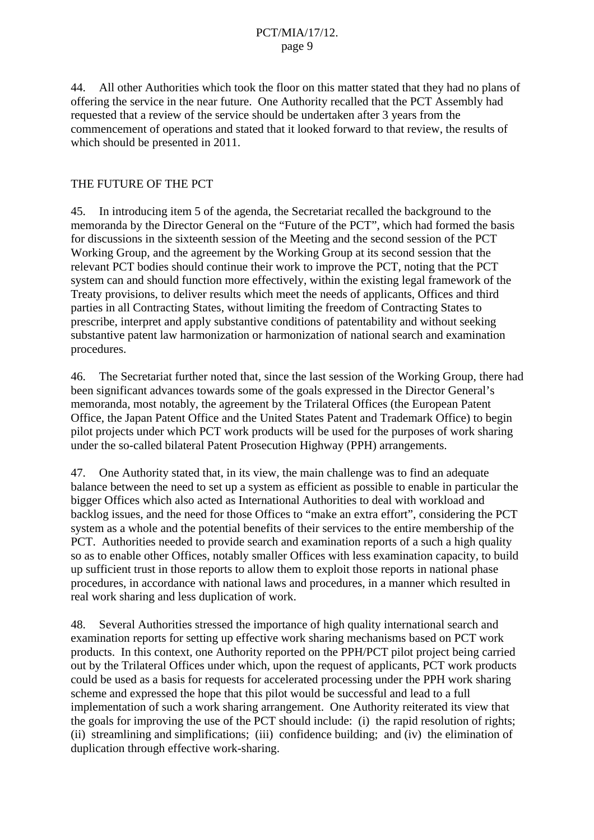44. All other Authorities which took the floor on this matter stated that they had no plans of offering the service in the near future. One Authority recalled that the PCT Assembly had requested that a review of the service should be undertaken after 3 years from the commencement of operations and stated that it looked forward to that review, the results of which should be presented in 2011.

#### THE FUTURE OF THE PCT

45. In introducing item 5 of the agenda, the Secretariat recalled the background to the memoranda by the Director General on the "Future of the PCT", which had formed the basis for discussions in the sixteenth session of the Meeting and the second session of the PCT Working Group, and the agreement by the Working Group at its second session that the relevant PCT bodies should continue their work to improve the PCT, noting that the PCT system can and should function more effectively, within the existing legal framework of the Treaty provisions, to deliver results which meet the needs of applicants, Offices and third parties in all Contracting States, without limiting the freedom of Contracting States to prescribe, interpret and apply substantive conditions of patentability and without seeking substantive patent law harmonization or harmonization of national search and examination procedures.

46. The Secretariat further noted that, since the last session of the Working Group, there had been significant advances towards some of the goals expressed in the Director General's memoranda, most notably, the agreement by the Trilateral Offices (the European Patent Office, the Japan Patent Office and the United States Patent and Trademark Office) to begin pilot projects under which PCT work products will be used for the purposes of work sharing under the so-called bilateral Patent Prosecution Highway (PPH) arrangements.

47. One Authority stated that, in its view, the main challenge was to find an adequate balance between the need to set up a system as efficient as possible to enable in particular the bigger Offices which also acted as International Authorities to deal with workload and backlog issues, and the need for those Offices to "make an extra effort", considering the PCT system as a whole and the potential benefits of their services to the entire membership of the PCT. Authorities needed to provide search and examination reports of a such a high quality so as to enable other Offices, notably smaller Offices with less examination capacity, to build up sufficient trust in those reports to allow them to exploit those reports in national phase procedures, in accordance with national laws and procedures, in a manner which resulted in real work sharing and less duplication of work.

48. Several Authorities stressed the importance of high quality international search and examination reports for setting up effective work sharing mechanisms based on PCT work products. In this context, one Authority reported on the PPH/PCT pilot project being carried out by the Trilateral Offices under which, upon the request of applicants, PCT work products could be used as a basis for requests for accelerated processing under the PPH work sharing scheme and expressed the hope that this pilot would be successful and lead to a full implementation of such a work sharing arrangement. One Authority reiterated its view that the goals for improving the use of the PCT should include: (i) the rapid resolution of rights; (ii) streamlining and simplifications; (iii) confidence building; and (iv) the elimination of duplication through effective work-sharing.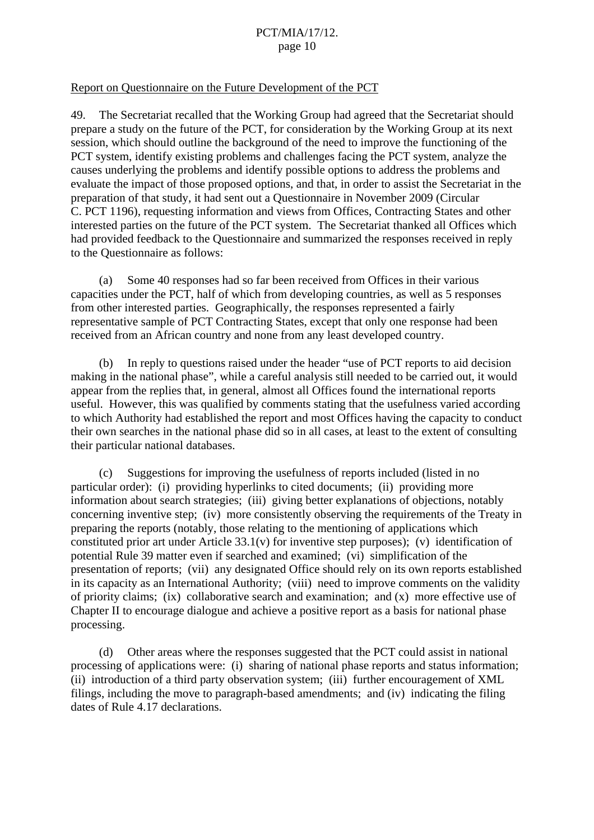#### Report on Questionnaire on the Future Development of the PCT

49. The Secretariat recalled that the Working Group had agreed that the Secretariat should prepare a study on the future of the PCT, for consideration by the Working Group at its next session, which should outline the background of the need to improve the functioning of the PCT system, identify existing problems and challenges facing the PCT system, analyze the causes underlying the problems and identify possible options to address the problems and evaluate the impact of those proposed options, and that, in order to assist the Secretariat in the preparation of that study, it had sent out a Questionnaire in November 2009 (Circular C. PCT 1196), requesting information and views from Offices, Contracting States and other interested parties on the future of the PCT system. The Secretariat thanked all Offices which had provided feedback to the Questionnaire and summarized the responses received in reply to the Questionnaire as follows:

 (a) Some 40 responses had so far been received from Offices in their various capacities under the PCT, half of which from developing countries, as well as 5 responses from other interested parties. Geographically, the responses represented a fairly representative sample of PCT Contracting States, except that only one response had been received from an African country and none from any least developed country.

 (b) In reply to questions raised under the header "use of PCT reports to aid decision making in the national phase", while a careful analysis still needed to be carried out, it would appear from the replies that, in general, almost all Offices found the international reports useful. However, this was qualified by comments stating that the usefulness varied according to which Authority had established the report and most Offices having the capacity to conduct their own searches in the national phase did so in all cases, at least to the extent of consulting their particular national databases.

 (c) Suggestions for improving the usefulness of reports included (listed in no particular order): (i) providing hyperlinks to cited documents; (ii) providing more information about search strategies; (iii) giving better explanations of objections, notably concerning inventive step; (iv) more consistently observing the requirements of the Treaty in preparing the reports (notably, those relating to the mentioning of applications which constituted prior art under Article 33.1(v) for inventive step purposes); (v) identification of potential Rule 39 matter even if searched and examined; (vi) simplification of the presentation of reports; (vii) any designated Office should rely on its own reports established in its capacity as an International Authority; (viii) need to improve comments on the validity of priority claims; (ix) collaborative search and examination; and (x) more effective use of Chapter II to encourage dialogue and achieve a positive report as a basis for national phase processing.

 (d) Other areas where the responses suggested that the PCT could assist in national processing of applications were: (i) sharing of national phase reports and status information; (ii) introduction of a third party observation system; (iii) further encouragement of XML filings, including the move to paragraph-based amendments; and (iv) indicating the filing dates of Rule 4.17 declarations.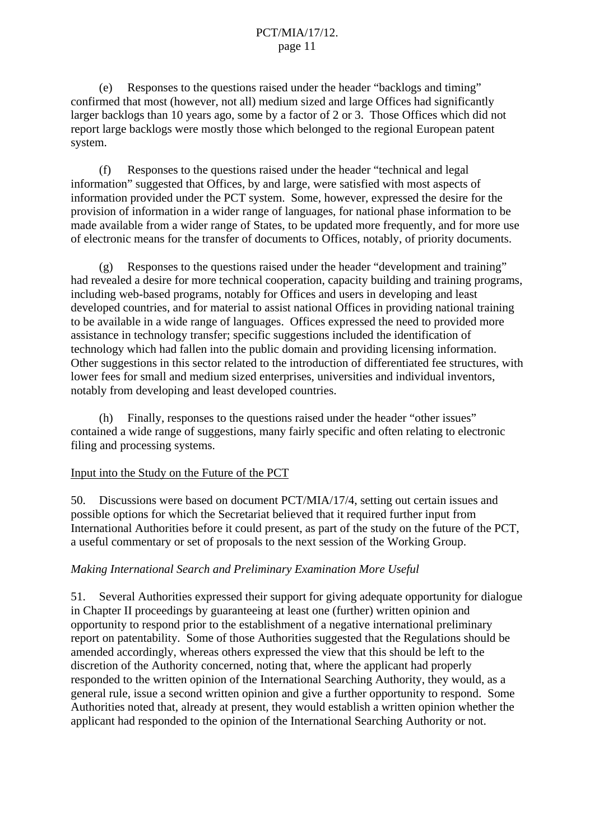(e) Responses to the questions raised under the header "backlogs and timing" confirmed that most (however, not all) medium sized and large Offices had significantly larger backlogs than 10 years ago, some by a factor of 2 or 3. Those Offices which did not report large backlogs were mostly those which belonged to the regional European patent system.

 (f) Responses to the questions raised under the header "technical and legal information" suggested that Offices, by and large, were satisfied with most aspects of information provided under the PCT system. Some, however, expressed the desire for the provision of information in a wider range of languages, for national phase information to be made available from a wider range of States, to be updated more frequently, and for more use of electronic means for the transfer of documents to Offices, notably, of priority documents.

 (g) Responses to the questions raised under the header "development and training" had revealed a desire for more technical cooperation, capacity building and training programs, including web-based programs, notably for Offices and users in developing and least developed countries, and for material to assist national Offices in providing national training to be available in a wide range of languages. Offices expressed the need to provided more assistance in technology transfer; specific suggestions included the identification of technology which had fallen into the public domain and providing licensing information. Other suggestions in this sector related to the introduction of differentiated fee structures, with lower fees for small and medium sized enterprises, universities and individual inventors, notably from developing and least developed countries.

 (h) Finally, responses to the questions raised under the header "other issues" contained a wide range of suggestions, many fairly specific and often relating to electronic filing and processing systems.

#### Input into the Study on the Future of the PCT

50. Discussions were based on document PCT/MIA/17/4, setting out certain issues and possible options for which the Secretariat believed that it required further input from International Authorities before it could present, as part of the study on the future of the PCT, a useful commentary or set of proposals to the next session of the Working Group.

#### *Making International Search and Preliminary Examination More Useful*

51. Several Authorities expressed their support for giving adequate opportunity for dialogue in Chapter II proceedings by guaranteeing at least one (further) written opinion and opportunity to respond prior to the establishment of a negative international preliminary report on patentability. Some of those Authorities suggested that the Regulations should be amended accordingly, whereas others expressed the view that this should be left to the discretion of the Authority concerned, noting that, where the applicant had properly responded to the written opinion of the International Searching Authority, they would, as a general rule, issue a second written opinion and give a further opportunity to respond. Some Authorities noted that, already at present, they would establish a written opinion whether the applicant had responded to the opinion of the International Searching Authority or not.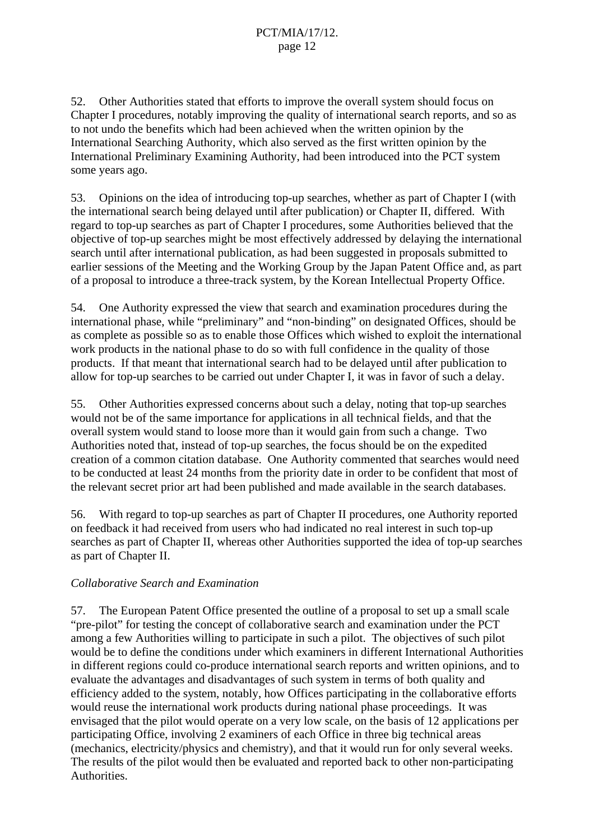52. Other Authorities stated that efforts to improve the overall system should focus on Chapter I procedures, notably improving the quality of international search reports, and so as to not undo the benefits which had been achieved when the written opinion by the International Searching Authority, which also served as the first written opinion by the International Preliminary Examining Authority, had been introduced into the PCT system some years ago.

53. Opinions on the idea of introducing top-up searches, whether as part of Chapter I (with the international search being delayed until after publication) or Chapter II, differed. With regard to top-up searches as part of Chapter I procedures, some Authorities believed that the objective of top-up searches might be most effectively addressed by delaying the international search until after international publication, as had been suggested in proposals submitted to earlier sessions of the Meeting and the Working Group by the Japan Patent Office and, as part of a proposal to introduce a three-track system, by the Korean Intellectual Property Office.

54. One Authority expressed the view that search and examination procedures during the international phase, while "preliminary" and "non-binding" on designated Offices, should be as complete as possible so as to enable those Offices which wished to exploit the international work products in the national phase to do so with full confidence in the quality of those products. If that meant that international search had to be delayed until after publication to allow for top-up searches to be carried out under Chapter I, it was in favor of such a delay.

55. Other Authorities expressed concerns about such a delay, noting that top-up searches would not be of the same importance for applications in all technical fields, and that the overall system would stand to loose more than it would gain from such a change. Two Authorities noted that, instead of top-up searches, the focus should be on the expedited creation of a common citation database. One Authority commented that searches would need to be conducted at least 24 months from the priority date in order to be confident that most of the relevant secret prior art had been published and made available in the search databases.

56. With regard to top-up searches as part of Chapter II procedures, one Authority reported on feedback it had received from users who had indicated no real interest in such top-up searches as part of Chapter II, whereas other Authorities supported the idea of top-up searches as part of Chapter II.

# *Collaborative Search and Examination*

57. The European Patent Office presented the outline of a proposal to set up a small scale "pre-pilot" for testing the concept of collaborative search and examination under the PCT among a few Authorities willing to participate in such a pilot. The objectives of such pilot would be to define the conditions under which examiners in different International Authorities in different regions could co-produce international search reports and written opinions, and to evaluate the advantages and disadvantages of such system in terms of both quality and efficiency added to the system, notably, how Offices participating in the collaborative efforts would reuse the international work products during national phase proceedings. It was envisaged that the pilot would operate on a very low scale, on the basis of 12 applications per participating Office, involving 2 examiners of each Office in three big technical areas (mechanics, electricity/physics and chemistry), and that it would run for only several weeks. The results of the pilot would then be evaluated and reported back to other non-participating Authorities.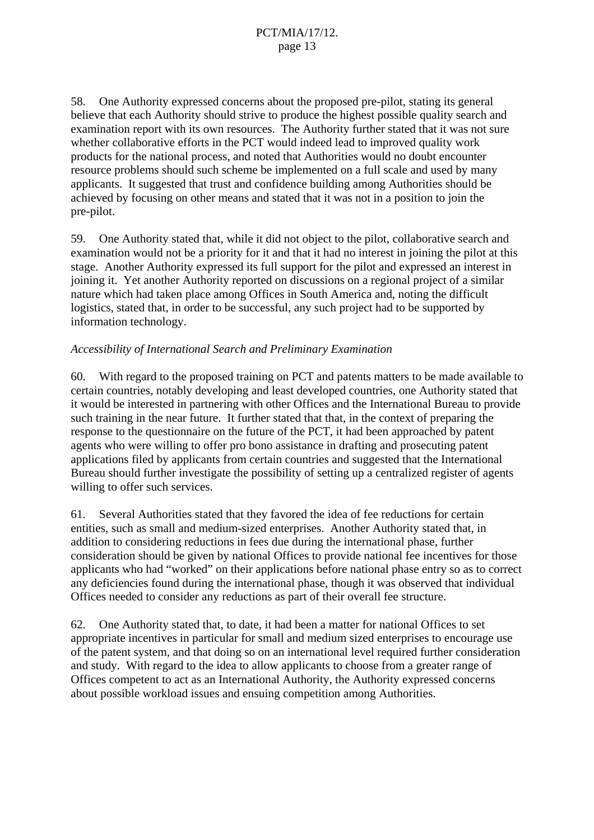58. One Authority expressed concerns about the proposed pre-pilot, stating its general believe that each Authority should strive to produce the highest possible quality search and examination report with its own resources. The Authority further stated that it was not sure whether collaborative efforts in the PCT would indeed lead to improved quality work products for the national process, and noted that Authorities would no doubt encounter resource problems should such scheme be implemented on a full scale and used by many applicants. It suggested that trust and confidence building among Authorities should be achieved by focusing on other means and stated that it was not in a position to join the pre-pilot.

59. One Authority stated that, while it did not object to the pilot, collaborative search and examination would not be a priority for it and that it had no interest in joining the pilot at this stage. Another Authority expressed its full support for the pilot and expressed an interest in joining it. Yet another Authority reported on discussions on a regional project of a similar nature which had taken place among Offices in South America and, noting the difficult logistics, stated that, in order to be successful, any such project had to be supported by information technology.

#### *Accessibility of International Search and Preliminary Examination*

60. With regard to the proposed training on PCT and patents matters to be made available to certain countries, notably developing and least developed countries, one Authority stated that it would be interested in partnering with other Offices and the International Bureau to provide such training in the near future. It further stated that that, in the context of preparing the response to the questionnaire on the future of the PCT, it had been approached by patent agents who were willing to offer pro bono assistance in drafting and prosecuting patent applications filed by applicants from certain countries and suggested that the International Bureau should further investigate the possibility of setting up a centralized register of agents willing to offer such services.

61. Several Authorities stated that they favored the idea of fee reductions for certain entities, such as small and medium-sized enterprises. Another Authority stated that, in addition to considering reductions in fees due during the international phase, further consideration should be given by national Offices to provide national fee incentives for those applicants who had "worked" on their applications before national phase entry so as to correct any deficiencies found during the international phase, though it was observed that individual Offices needed to consider any reductions as part of their overall fee structure.

62. One Authority stated that, to date, it had been a matter for national Offices to set appropriate incentives in particular for small and medium sized enterprises to encourage use of the patent system, and that doing so on an international level required further consideration and study. With regard to the idea to allow applicants to choose from a greater range of Offices competent to act as an International Authority, the Authority expressed concerns about possible workload issues and ensuing competition among Authorities.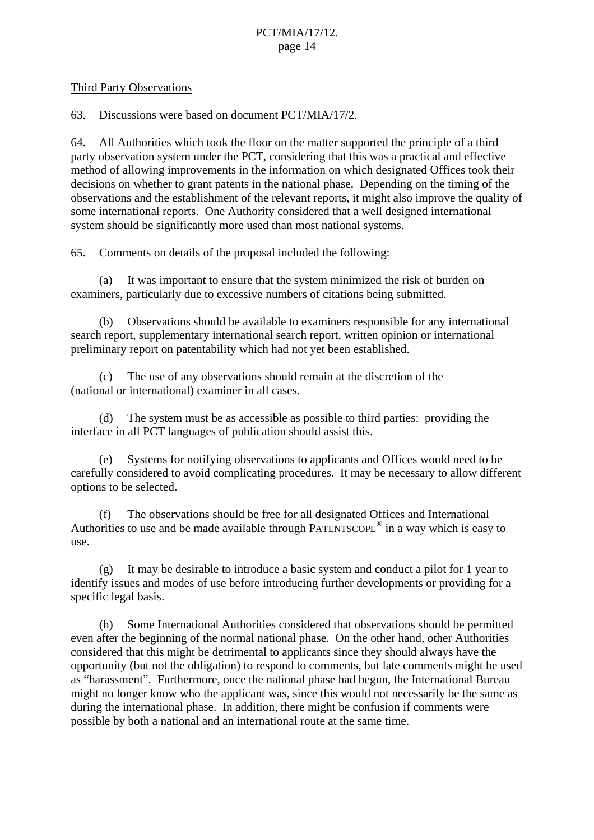#### Third Party Observations

63. Discussions were based on document PCT/MIA/17/2.

64. All Authorities which took the floor on the matter supported the principle of a third party observation system under the PCT, considering that this was a practical and effective method of allowing improvements in the information on which designated Offices took their decisions on whether to grant patents in the national phase. Depending on the timing of the observations and the establishment of the relevant reports, it might also improve the quality of some international reports. One Authority considered that a well designed international system should be significantly more used than most national systems.

65. Comments on details of the proposal included the following:

 (a) It was important to ensure that the system minimized the risk of burden on examiners, particularly due to excessive numbers of citations being submitted.

 (b) Observations should be available to examiners responsible for any international search report, supplementary international search report, written opinion or international preliminary report on patentability which had not yet been established.

 (c) The use of any observations should remain at the discretion of the (national or international) examiner in all cases.

 (d) The system must be as accessible as possible to third parties: providing the interface in all PCT languages of publication should assist this.

 (e) Systems for notifying observations to applicants and Offices would need to be carefully considered to avoid complicating procedures. It may be necessary to allow different options to be selected.

 (f) The observations should be free for all designated Offices and International Authorities to use and be made available through PATENTSCOPE® in a way which is easy to use.

 (g) It may be desirable to introduce a basic system and conduct a pilot for 1 year to identify issues and modes of use before introducing further developments or providing for a specific legal basis.

 (h) Some International Authorities considered that observations should be permitted even after the beginning of the normal national phase. On the other hand, other Authorities considered that this might be detrimental to applicants since they should always have the opportunity (but not the obligation) to respond to comments, but late comments might be used as "harassment". Furthermore, once the national phase had begun, the International Bureau might no longer know who the applicant was, since this would not necessarily be the same as during the international phase. In addition, there might be confusion if comments were possible by both a national and an international route at the same time.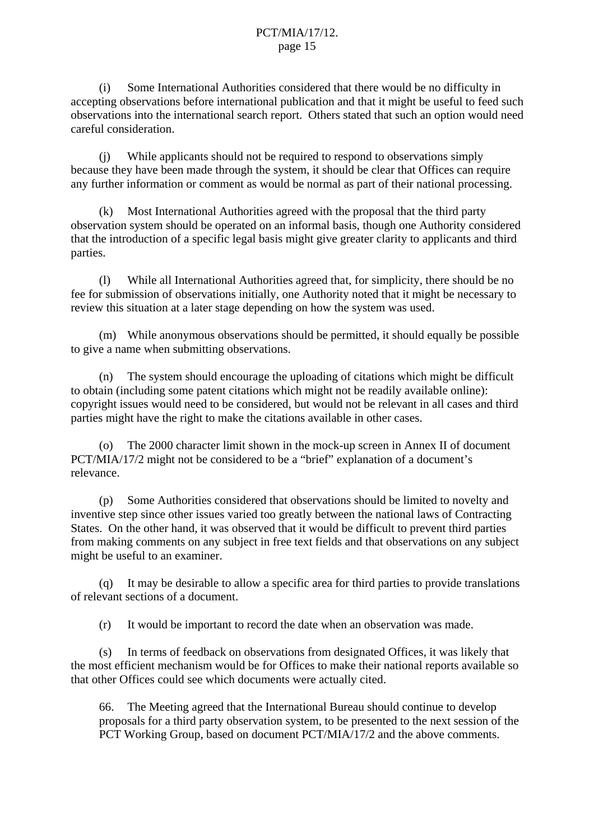(i) Some International Authorities considered that there would be no difficulty in accepting observations before international publication and that it might be useful to feed such observations into the international search report. Others stated that such an option would need careful consideration.

 (j) While applicants should not be required to respond to observations simply because they have been made through the system, it should be clear that Offices can require any further information or comment as would be normal as part of their national processing.

 (k) Most International Authorities agreed with the proposal that the third party observation system should be operated on an informal basis, though one Authority considered that the introduction of a specific legal basis might give greater clarity to applicants and third parties.

 (l) While all International Authorities agreed that, for simplicity, there should be no fee for submission of observations initially, one Authority noted that it might be necessary to review this situation at a later stage depending on how the system was used.

 (m) While anonymous observations should be permitted, it should equally be possible to give a name when submitting observations.

 (n) The system should encourage the uploading of citations which might be difficult to obtain (including some patent citations which might not be readily available online): copyright issues would need to be considered, but would not be relevant in all cases and third parties might have the right to make the citations available in other cases.

 (o) The 2000 character limit shown in the mock-up screen in Annex II of document PCT/MIA/17/2 might not be considered to be a "brief" explanation of a document's relevance.

 (p) Some Authorities considered that observations should be limited to novelty and inventive step since other issues varied too greatly between the national laws of Contracting States. On the other hand, it was observed that it would be difficult to prevent third parties from making comments on any subject in free text fields and that observations on any subject might be useful to an examiner.

 (q) It may be desirable to allow a specific area for third parties to provide translations of relevant sections of a document.

(r) It would be important to record the date when an observation was made.

 (s) In terms of feedback on observations from designated Offices, it was likely that the most efficient mechanism would be for Offices to make their national reports available so that other Offices could see which documents were actually cited.

66. The Meeting agreed that the International Bureau should continue to develop proposals for a third party observation system, to be presented to the next session of the PCT Working Group, based on document PCT/MIA/17/2 and the above comments.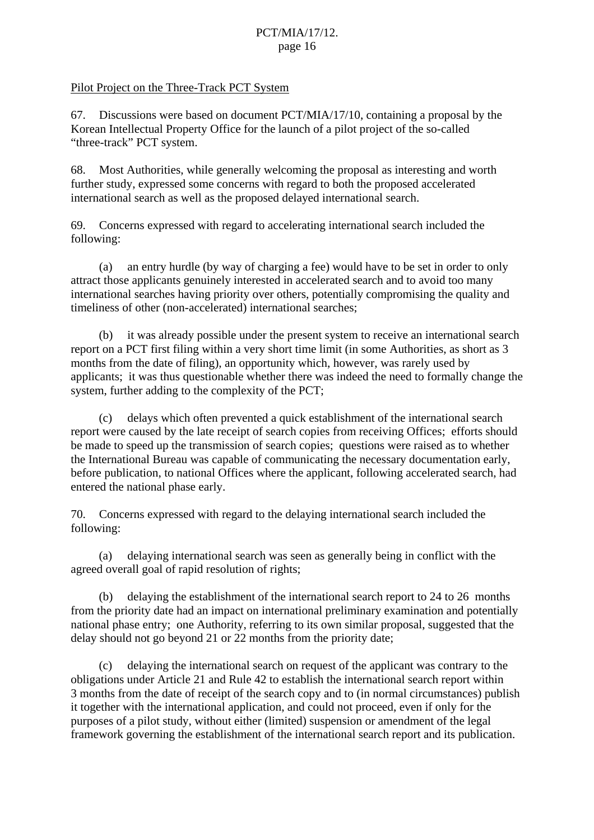#### Pilot Project on the Three-Track PCT System

67. Discussions were based on document PCT/MIA/17/10, containing a proposal by the Korean Intellectual Property Office for the launch of a pilot project of the so-called "three-track" PCT system.

68. Most Authorities, while generally welcoming the proposal as interesting and worth further study, expressed some concerns with regard to both the proposed accelerated international search as well as the proposed delayed international search.

69. Concerns expressed with regard to accelerating international search included the following:

 (a) an entry hurdle (by way of charging a fee) would have to be set in order to only attract those applicants genuinely interested in accelerated search and to avoid too many international searches having priority over others, potentially compromising the quality and timeliness of other (non-accelerated) international searches;

(b) it was already possible under the present system to receive an international search report on a PCT first filing within a very short time limit (in some Authorities, as short as 3 months from the date of filing), an opportunity which, however, was rarely used by applicants; it was thus questionable whether there was indeed the need to formally change the system, further adding to the complexity of the PCT;

(c) delays which often prevented a quick establishment of the international search report were caused by the late receipt of search copies from receiving Offices; efforts should be made to speed up the transmission of search copies; questions were raised as to whether the International Bureau was capable of communicating the necessary documentation early, before publication, to national Offices where the applicant, following accelerated search, had entered the national phase early.

70. Concerns expressed with regard to the delaying international search included the following:

(a) delaying international search was seen as generally being in conflict with the agreed overall goal of rapid resolution of rights;

(b) delaying the establishment of the international search report to 24 to 26 months from the priority date had an impact on international preliminary examination and potentially national phase entry; one Authority, referring to its own similar proposal, suggested that the delay should not go beyond 21 or 22 months from the priority date;

(c) delaying the international search on request of the applicant was contrary to the obligations under Article 21 and Rule 42 to establish the international search report within 3 months from the date of receipt of the search copy and to (in normal circumstances) publish it together with the international application, and could not proceed, even if only for the purposes of a pilot study, without either (limited) suspension or amendment of the legal framework governing the establishment of the international search report and its publication.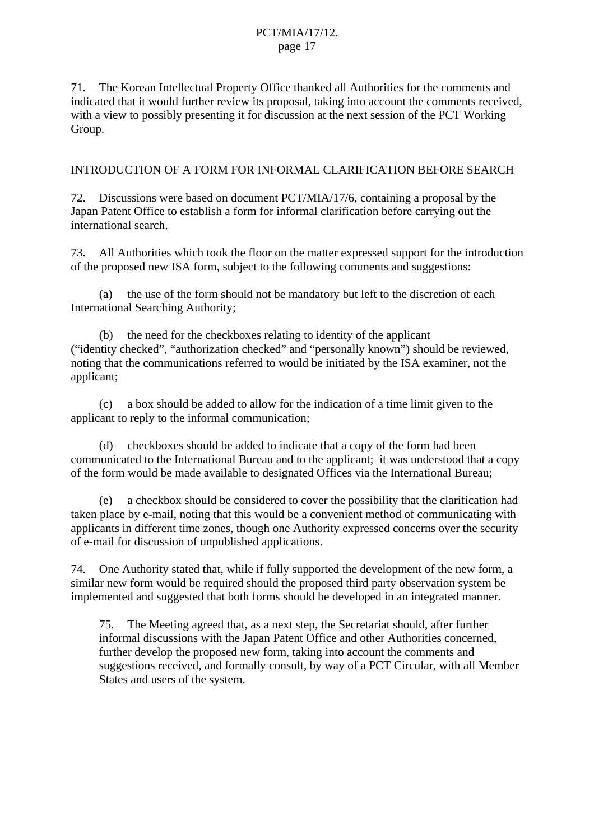71. The Korean Intellectual Property Office thanked all Authorities for the comments and indicated that it would further review its proposal, taking into account the comments received, with a view to possibly presenting it for discussion at the next session of the PCT Working Group.

### INTRODUCTION OF A FORM FOR INFORMAL CLARIFICATION BEFORE SEARCH

72. Discussions were based on document PCT/MIA/17/6, containing a proposal by the Japan Patent Office to establish a form for informal clarification before carrying out the international search.

73. All Authorities which took the floor on the matter expressed support for the introduction of the proposed new ISA form, subject to the following comments and suggestions:

 (a) the use of the form should not be mandatory but left to the discretion of each International Searching Authority;

 (b) the need for the checkboxes relating to identity of the applicant ("identity checked", "authorization checked" and "personally known") should be reviewed, noting that the communications referred to would be initiated by the ISA examiner, not the applicant;

 (c) a box should be added to allow for the indication of a time limit given to the applicant to reply to the informal communication;

 (d) checkboxes should be added to indicate that a copy of the form had been communicated to the International Bureau and to the applicant; it was understood that a copy of the form would be made available to designated Offices via the International Bureau;

 (e) a checkbox should be considered to cover the possibility that the clarification had taken place by e-mail, noting that this would be a convenient method of communicating with applicants in different time zones, though one Authority expressed concerns over the security of e-mail for discussion of unpublished applications.

74. One Authority stated that, while if fully supported the development of the new form, a similar new form would be required should the proposed third party observation system be implemented and suggested that both forms should be developed in an integrated manner.

75. The Meeting agreed that, as a next step, the Secretariat should, after further informal discussions with the Japan Patent Office and other Authorities concerned, further develop the proposed new form, taking into account the comments and suggestions received, and formally consult, by way of a PCT Circular, with all Member States and users of the system.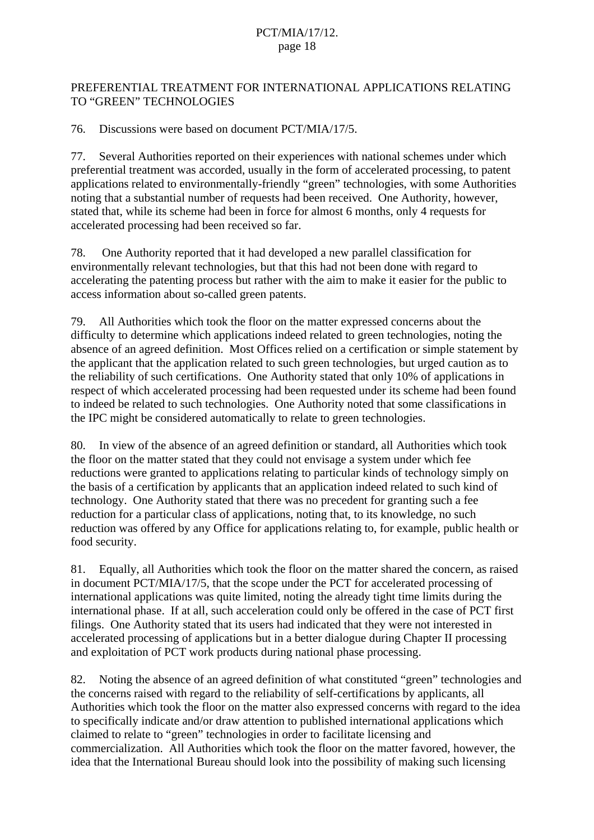# PREFERENTIAL TREATMENT FOR INTERNATIONAL APPLICATIONS RELATING TO "GREEN" TECHNOLOGIES

76. Discussions were based on document PCT/MIA/17/5.

77. Several Authorities reported on their experiences with national schemes under which preferential treatment was accorded, usually in the form of accelerated processing, to patent applications related to environmentally-friendly "green" technologies, with some Authorities noting that a substantial number of requests had been received. One Authority, however, stated that, while its scheme had been in force for almost 6 months, only 4 requests for accelerated processing had been received so far.

78. One Authority reported that it had developed a new parallel classification for environmentally relevant technologies, but that this had not been done with regard to accelerating the patenting process but rather with the aim to make it easier for the public to access information about so-called green patents.

79. All Authorities which took the floor on the matter expressed concerns about the difficulty to determine which applications indeed related to green technologies, noting the absence of an agreed definition. Most Offices relied on a certification or simple statement by the applicant that the application related to such green technologies, but urged caution as to the reliability of such certifications. One Authority stated that only 10% of applications in respect of which accelerated processing had been requested under its scheme had been found to indeed be related to such technologies. One Authority noted that some classifications in the IPC might be considered automatically to relate to green technologies.

80. In view of the absence of an agreed definition or standard, all Authorities which took the floor on the matter stated that they could not envisage a system under which fee reductions were granted to applications relating to particular kinds of technology simply on the basis of a certification by applicants that an application indeed related to such kind of technology. One Authority stated that there was no precedent for granting such a fee reduction for a particular class of applications, noting that, to its knowledge, no such reduction was offered by any Office for applications relating to, for example, public health or food security.

81. Equally, all Authorities which took the floor on the matter shared the concern, as raised in document PCT/MIA/17/5, that the scope under the PCT for accelerated processing of international applications was quite limited, noting the already tight time limits during the international phase. If at all, such acceleration could only be offered in the case of PCT first filings. One Authority stated that its users had indicated that they were not interested in accelerated processing of applications but in a better dialogue during Chapter II processing and exploitation of PCT work products during national phase processing.

82. Noting the absence of an agreed definition of what constituted "green" technologies and the concerns raised with regard to the reliability of self-certifications by applicants, all Authorities which took the floor on the matter also expressed concerns with regard to the idea to specifically indicate and/or draw attention to published international applications which claimed to relate to "green" technologies in order to facilitate licensing and commercialization. All Authorities which took the floor on the matter favored, however, the idea that the International Bureau should look into the possibility of making such licensing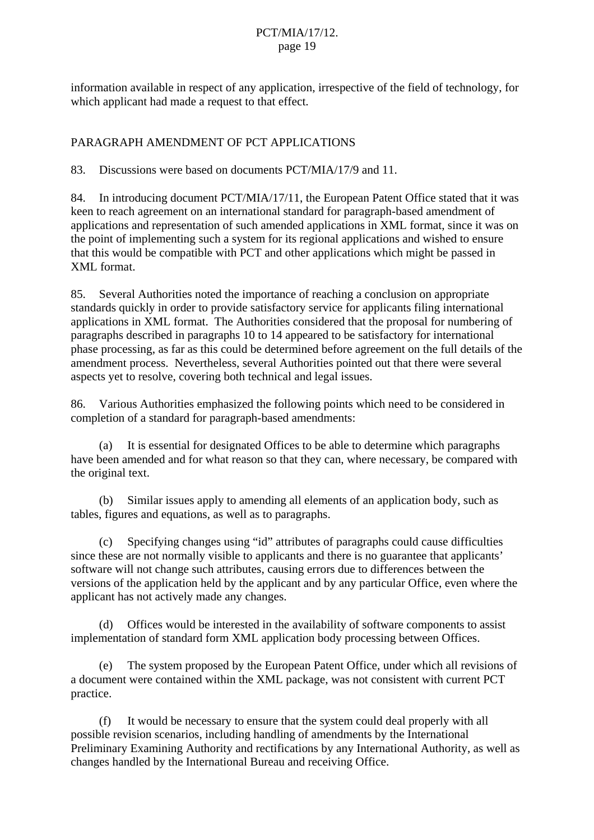information available in respect of any application, irrespective of the field of technology, for which applicant had made a request to that effect.

# PARAGRAPH AMENDMENT OF PCT APPLICATIONS

83. Discussions were based on documents PCT/MIA/17/9 and 11.

84. In introducing document PCT/MIA/17/11, the European Patent Office stated that it was keen to reach agreement on an international standard for paragraph-based amendment of applications and representation of such amended applications in XML format, since it was on the point of implementing such a system for its regional applications and wished to ensure that this would be compatible with PCT and other applications which might be passed in XML format.

85. Several Authorities noted the importance of reaching a conclusion on appropriate standards quickly in order to provide satisfactory service for applicants filing international applications in XML format. The Authorities considered that the proposal for numbering of paragraphs described in paragraphs 10 to 14 appeared to be satisfactory for international phase processing, as far as this could be determined before agreement on the full details of the amendment process. Nevertheless, several Authorities pointed out that there were several aspects yet to resolve, covering both technical and legal issues.

86. Various Authorities emphasized the following points which need to be considered in completion of a standard for paragraph-based amendments:

 (a) It is essential for designated Offices to be able to determine which paragraphs have been amended and for what reason so that they can, where necessary, be compared with the original text.

 (b) Similar issues apply to amending all elements of an application body, such as tables, figures and equations, as well as to paragraphs.

 (c) Specifying changes using "id" attributes of paragraphs could cause difficulties since these are not normally visible to applicants and there is no guarantee that applicants' software will not change such attributes, causing errors due to differences between the versions of the application held by the applicant and by any particular Office, even where the applicant has not actively made any changes.

 (d) Offices would be interested in the availability of software components to assist implementation of standard form XML application body processing between Offices.

 (e) The system proposed by the European Patent Office, under which all revisions of a document were contained within the XML package, was not consistent with current PCT practice.

 (f) It would be necessary to ensure that the system could deal properly with all possible revision scenarios, including handling of amendments by the International Preliminary Examining Authority and rectifications by any International Authority, as well as changes handled by the International Bureau and receiving Office.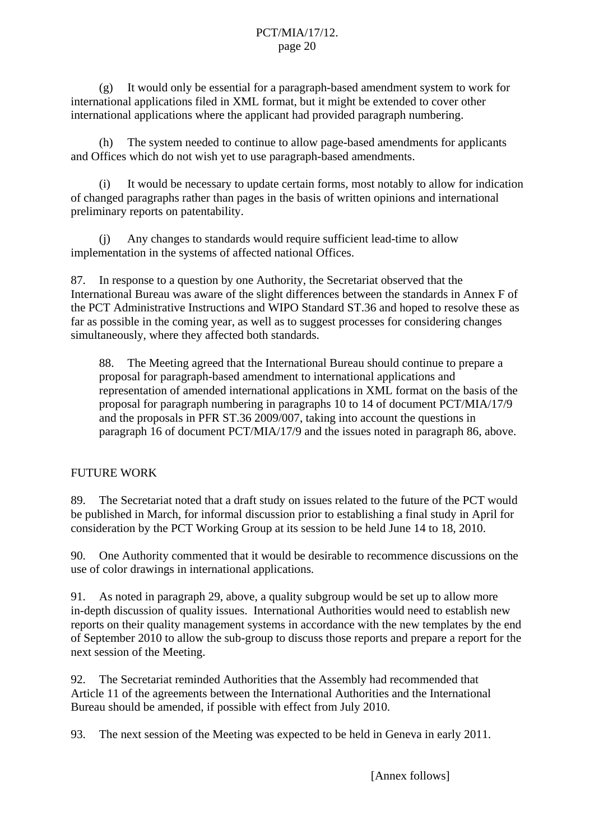(g) It would only be essential for a paragraph-based amendment system to work for international applications filed in XML format, but it might be extended to cover other international applications where the applicant had provided paragraph numbering.

 (h) The system needed to continue to allow page-based amendments for applicants and Offices which do not wish yet to use paragraph-based amendments.

 (i) It would be necessary to update certain forms, most notably to allow for indication of changed paragraphs rather than pages in the basis of written opinions and international preliminary reports on patentability.

 (j) Any changes to standards would require sufficient lead-time to allow implementation in the systems of affected national Offices.

87. In response to a question by one Authority, the Secretariat observed that the International Bureau was aware of the slight differences between the standards in Annex F of the PCT Administrative Instructions and WIPO Standard ST.36 and hoped to resolve these as far as possible in the coming year, as well as to suggest processes for considering changes simultaneously, where they affected both standards.

88. The Meeting agreed that the International Bureau should continue to prepare a proposal for paragraph-based amendment to international applications and representation of amended international applications in XML format on the basis of the proposal for paragraph numbering in paragraphs 10 to 14 of document PCT/MIA/17/9 and the proposals in PFR ST.36 2009/007, taking into account the questions in paragraph 16 of document PCT/MIA/17/9 and the issues noted in paragraph 86, above.

# FUTURE WORK

89. The Secretariat noted that a draft study on issues related to the future of the PCT would be published in March, for informal discussion prior to establishing a final study in April for consideration by the PCT Working Group at its session to be held June 14 to 18, 2010.

90. One Authority commented that it would be desirable to recommence discussions on the use of color drawings in international applications.

91. As noted in paragraph 29, above, a quality subgroup would be set up to allow more in-depth discussion of quality issues. International Authorities would need to establish new reports on their quality management systems in accordance with the new templates by the end of September 2010 to allow the sub-group to discuss those reports and prepare a report for the next session of the Meeting.

92. The Secretariat reminded Authorities that the Assembly had recommended that Article 11 of the agreements between the International Authorities and the International Bureau should be amended, if possible with effect from July 2010.

93. The next session of the Meeting was expected to be held in Geneva in early 2011.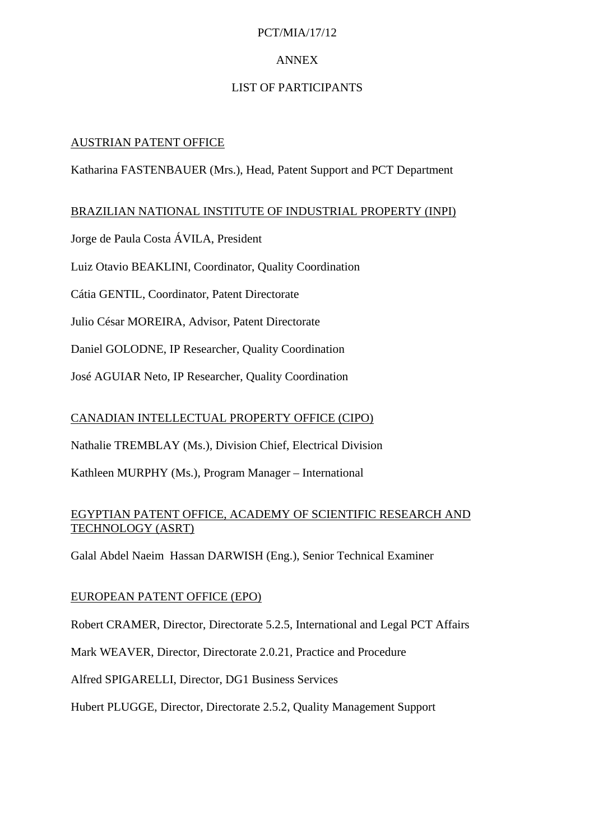# PCT/MIA/17/12

# ANNEX

# LIST OF PARTICIPANTS

# AUSTRIAN PATENT OFFICE

Katharina FASTENBAUER (Mrs.), Head, Patent Support and PCT Department

# BRAZILIAN NATIONAL INSTITUTE OF INDUSTRIAL PROPERTY (INPI)

Jorge de Paula Costa ÁVILA, President

Luiz Otavio BEAKLINI, Coordinator, Quality Coordination

Cátia GENTIL, Coordinator, Patent Directorate

Julio César MOREIRA, Advisor, Patent Directorate

Daniel GOLODNE, IP Researcher, Quality Coordination

José AGUIAR Neto, IP Researcher, Quality Coordination

# CANADIAN INTELLECTUAL PROPERTY OFFICE (CIPO)

Nathalie TREMBLAY (Ms.), Division Chief, Electrical Division

Kathleen MURPHY (Ms.), Program Manager – International

# EGYPTIAN PATENT OFFICE, ACADEMY OF SCIENTIFIC RESEARCH AND TECHNOLOGY (ASRT)

Galal Abdel Naeim Hassan DARWISH (Eng.), Senior Technical Examiner

# EUROPEAN PATENT OFFICE (EPO)

Robert CRAMER, Director, Directorate 5.2.5, International and Legal PCT Affairs

Mark WEAVER, Director, Directorate 2.0.21, Practice and Procedure

Alfred SPIGARELLI, Director, DG1 Business Services

Hubert PLUGGE, Director, Directorate 2.5.2, Quality Management Support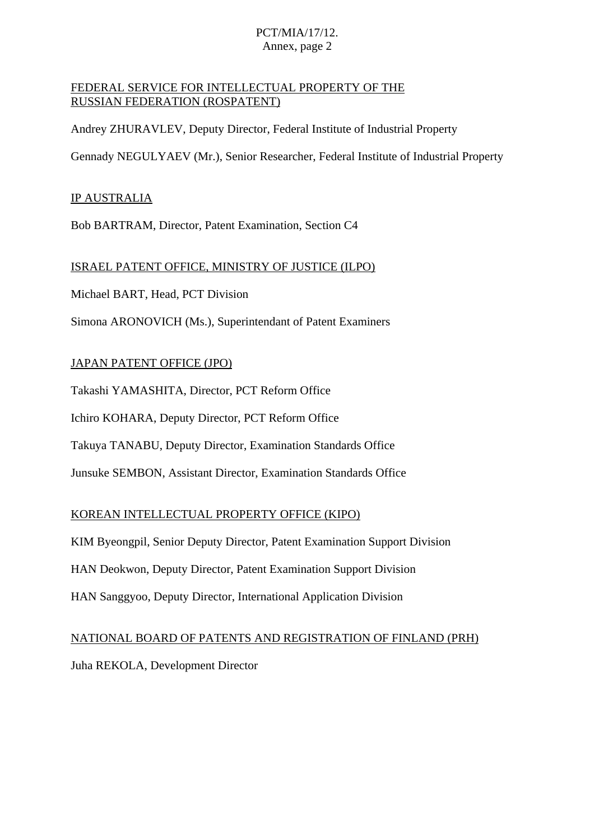# PCT/MIA/17/12. Annex, page 2

# FEDERAL SERVICE FOR INTELLECTUAL PROPERTY OF THE RUSSIAN FEDERATION (ROSPATENT)

Andrey ZHURAVLEV, Deputy Director, Federal Institute of Industrial Property

Gennady NEGULYAEV (Mr.), Senior Researcher, Federal Institute of Industrial Property

### IP AUSTRALIA

Bob BARTRAM, Director, Patent Examination, Section C4

#### ISRAEL PATENT OFFICE, MINISTRY OF JUSTICE (ILPO)

Michael BART, Head, PCT Division

Simona ARONOVICH (Ms.), Superintendant of Patent Examiners

#### JAPAN PATENT OFFICE (JPO)

Takashi YAMASHITA, Director, PCT Reform Office

Ichiro KOHARA, Deputy Director, PCT Reform Office

Takuya TANABU, Deputy Director, Examination Standards Office

Junsuke SEMBON, Assistant Director, Examination Standards Office

# KOREAN INTELLECTUAL PROPERTY OFFICE (KIPO)

KIM Byeongpil, Senior Deputy Director, Patent Examination Support Division

HAN Deokwon, Deputy Director, Patent Examination Support Division

HAN Sanggyoo, Deputy Director, International Application Division

# NATIONAL BOARD OF PATENTS AND REGISTRATION OF FINLAND (PRH)

Juha REKOLA, Development Director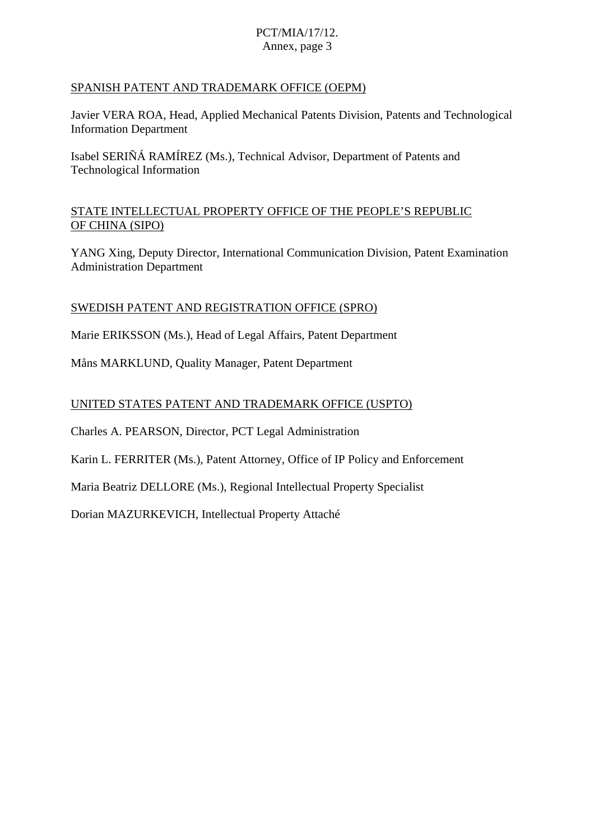# PCT/MIA/17/12. Annex, page 3

# SPANISH PATENT AND TRADEMARK OFFICE (OEPM)

Javier VERA ROA, Head, Applied Mechanical Patents Division, Patents and Technological Information Department

Isabel SERIÑÁ RAMÍREZ (Ms.), Technical Advisor, Department of Patents and Technological Information

#### STATE INTELLECTUAL PROPERTY OFFICE OF THE PEOPLE'S REPUBLIC OF CHINA (SIPO)

YANG Xing, Deputy Director, International Communication Division, Patent Examination Administration Department

#### SWEDISH PATENT AND REGISTRATION OFFICE (SPRO)

Marie ERIKSSON (Ms.), Head of Legal Affairs, Patent Department

Måns MARKLUND, Quality Manager, Patent Department

#### UNITED STATES PATENT AND TRADEMARK OFFICE (USPTO)

Charles A. PEARSON, Director, PCT Legal Administration

Karin L. FERRITER (Ms.), Patent Attorney, Office of IP Policy and Enforcement

Maria Beatriz DELLORE (Ms.), Regional Intellectual Property Specialist

Dorian MAZURKEVICH, Intellectual Property Attaché